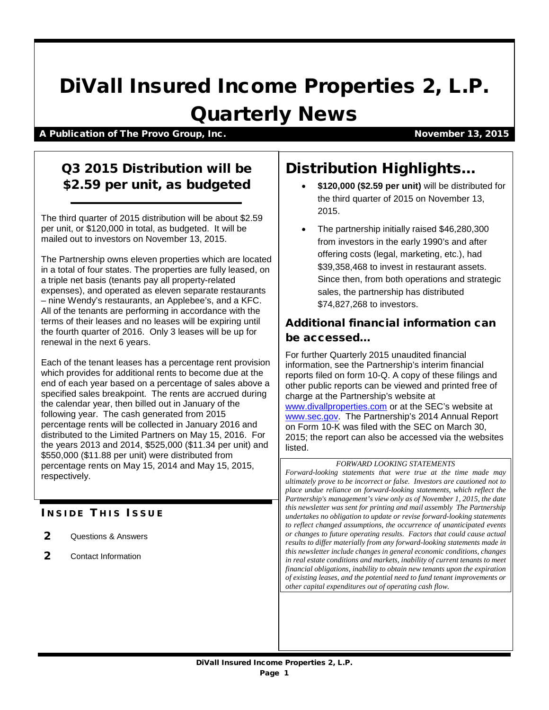# DiVall Insured Income Properties 2, L.P.

# Quarterly News

A Publication of The Provo Group, Inc. November 13, 2015

## Q3 2015 Distribution will be \$2.59 per unit, as budgeted

The third quarter of 2015 distribution will be about \$2.59 per unit, or \$120,000 in total, as budgeted. It will be mailed out to investors on November 13, 2015.

The Partnership owns eleven properties which are located in a total of four states. The properties are fully leased, on a triple net basis (tenants pay all property-related expenses), and operated as eleven separate restaurants – nine Wendy's restaurants, an Applebee's, and a KFC. All of the tenants are performing in accordance with the terms of their leases and no leases will be expiring until the fourth quarter of 2016. Only 3 leases will be up for renewal in the next 6 years.

Each of the tenant leases has a percentage rent provision which provides for additional rents to become due at the end of each year based on a percentage of sales above a specified sales breakpoint. The rents are accrued during the calendar year, then billed out in January of the following year. The cash generated from 2015 percentage rents will be collected in January 2016 and distributed to the Limited Partners on May 15, 2016. For the years 2013 and 2014, \$525,000 (\$11.34 per unit) and \$550,000 (\$11.88 per unit) were distributed from percentage rents on May 15, 2014 and May 15, 2015, respectively.

### **INSIDE THIS ISSUE**

- 2 Questions & Answers
- 2 Contact Information

# Distribution Highlights…

- **\$120,000 (\$2.59 per unit)** will be distributed for the third quarter of 2015 on November 13, 2015.
- The partnership initially raised \$46,280,300 from investors in the early 1990's and after offering costs (legal, marketing, etc.), had \$39,358,468 to invest in restaurant assets. Since then, from both operations and strategic sales, the partnership has distributed \$74,827,268 to investors.

#### Additional financial information can be accessed…

For further Quarterly 2015 unaudited financial information, see the Partnership's interim financial reports filed on form 10-Q. A copy of these filings and other public reports can be viewed and printed free of charge at the Partnership's website at [www.divallproperties.com](http://www.divallproperties.com/) or at the SEC's website at [www.sec.gov.](http://www.sec.gov/) The Partnership's 2014 Annual Report on Form 10-K was filed with the SEC on March 30, 2015; the report can also be accessed via the websites listed.

#### *FORWARD LOOKING STATEMENTS*

*Forward-looking statements that were true at the time made may ultimately prove to be incorrect or false. Investors are cautioned not to place undue reliance on forward-looking statements, which reflect the Partnership's management's view only as of November 1, 2015, the date this newsletter was sent for printing and mail assembly The Partnership undertakes no obligation to update or revise forward-looking statements to reflect changed assumptions, the occurrence of unanticipated events or changes to future operating results. Factors that could cause actual results to differ materially from any forward-looking statements made in this newsletter include changes in general economic conditions, changes in real estate conditions and markets, inability of current tenants to meet financial obligations, inability to obtain new tenants upon the expiration of existing leases, and the potential need to fund tenant improvements or other capital expenditures out of operating cash flow.*